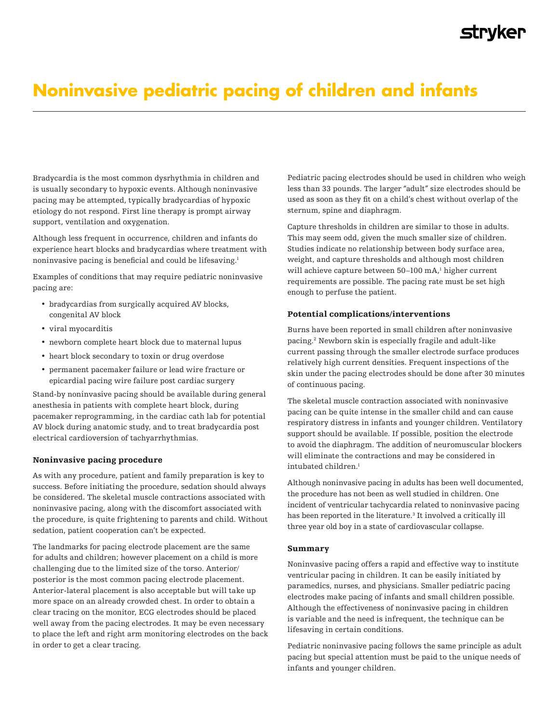## **STLAKEL**

# **Noninvasive pediatric pacing of children and infants**

Bradycardia is the most common dysrhythmia in children and is usually secondary to hypoxic events. Although noninvasive pacing may be attempted, typically bradycardias of hypoxic etiology do not respond. First line therapy is prompt airway support, ventilation and oxygenation.

Although less frequent in occurrence, children and infants do experience heart blocks and bradycardias where treatment with noninvasive pacing is beneficial and could be lifesaving.<sup>1</sup>

Examples of conditions that may require pediatric noninvasive pacing are:

- bradycardias from surgically acquired AV blocks, congenital AV block
- viral myocarditis
- newborn complete heart block due to maternal lupus
- heart block secondary to toxin or drug overdose
- permanent pacemaker failure or lead wire fracture or epicardial pacing wire failure post cardiac surgery

Stand-by noninvasive pacing should be available during general anesthesia in patients with complete heart block, during pacemaker reprogramming, in the cardiac cath lab for potential AV block during anatomic study, and to treat bradycardia post electrical cardioversion of tachyarrhythmias.

## Noninvasive pacing procedure

As with any procedure, patient and family preparation is key to success. Before initiating the procedure, sedation should always be considered. The skeletal muscle contractions associated with noninvasive pacing, along with the discomfort associated with the procedure, is quite frightening to parents and child. Without sedation, patient cooperation can't be expected.

The landmarks for pacing electrode placement are the same for adults and children; however placement on a child is more challenging due to the limited size of the torso. Anterior/ posterior is the most common pacing electrode placement. Anterior-lateral placement is also acceptable but will take up more space on an already crowded chest. In order to obtain a clear tracing on the monitor, ECG electrodes should be placed well away from the pacing electrodes. It may be even necessary to place the left and right arm monitoring electrodes on the back in order to get a clear tracing.

Pediatric pacing electrodes should be used in children who weigh less than 33 pounds. The larger "adult" size electrodes should be used as soon as they fit on a child's chest without overlap of the sternum, spine and diaphragm.

Capture thresholds in children are similar to those in adults. This may seem odd, given the much smaller size of children. Studies indicate no relationship between body surface area, weight, and capture thresholds and although most children will achieve capture between 50–100 mA,<sup>1</sup> higher current requirements are possible. The pacing rate must be set high enough to perfuse the patient.

## Potential complications/interventions

Burns have been reported in small children after noninvasive pacing.2 Newborn skin is especially fragile and adult-like current passing through the smaller electrode surface produces relatively high current densities. Frequent inspections of the skin under the pacing electrodes should be done after 30 minutes of continuous pacing.

The skeletal muscle contraction associated with noninvasive pacing can be quite intense in the smaller child and can cause respiratory distress in infants and younger children. Ventilatory support should be available. If possible, position the electrode to avoid the diaphragm. The addition of neuromuscular blockers will eliminate the contractions and may be considered in intubated children.<sup>1</sup>

Although noninvasive pacing in adults has been well documented, the procedure has not been as well studied in children. One incident of ventricular tachycardia related to noninvasive pacing has been reported in the literature.3 It involved a critically ill three year old boy in a state of cardiovascular collapse.

### Summary

Noninvasive pacing offers a rapid and effective way to institute ventricular pacing in children. It can be easily initiated by paramedics, nurses, and physicians. Smaller pediatric pacing electrodes make pacing of infants and small children possible. Although the effectiveness of noninvasive pacing in children is variable and the need is infrequent, the technique can be lifesaving in certain conditions.

Pediatric noninvasive pacing follows the same principle as adult pacing but special attention must be paid to the unique needs of infants and younger children.